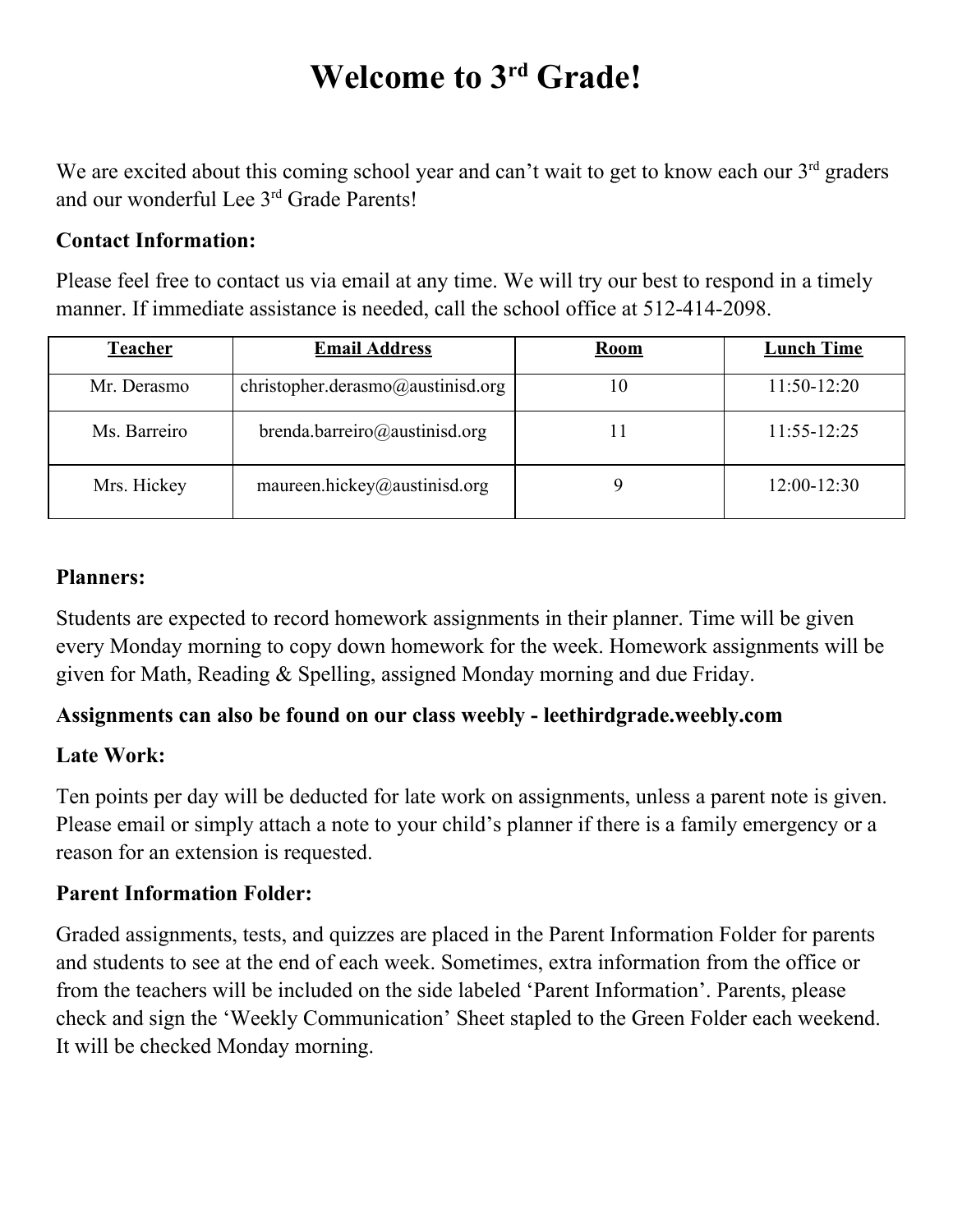# **Welcome to 3 rd Grade!**

We are excited about this coming school year and can't wait to get to know each our  $3<sup>rd</sup>$  graders and our wonderful Lee 3<sup>rd</sup> Grade Parents!

### **Contact Information:**

Please feel free to contact us via email at any time. We will try our best to respond in a timely manner. If immediate assistance is needed, call the school office at 512-414-2098.

| <b>Teacher</b> | <b>Email Address</b>              | <b>Room</b> | <b>Lunch Time</b> |
|----------------|-----------------------------------|-------------|-------------------|
| Mr. Derasmo    | christopher.derasmo@austinisd.org | 10          | $11:50-12:20$     |
| Ms. Barreiro   | brenda.barreiro@austinisd.org     |             | $11:55 - 12:25$   |
| Mrs. Hickey    | maureen.hickey@austinisd.org      |             | $12:00-12:30$     |

### **Planners:**

Students are expected to record homework assignments in their planner. Time will be given every Monday morning to copy down homework for the week. Homework assignments will be given for Math, Reading & Spelling, assigned Monday morning and due Friday.

# **Assignments can also be found on our class weebly - leethirdgrade.weebly.com**

# **Late Work:**

Ten points per day will be deducted for late work on assignments, unless a parent note is given. Please email or simply attach a note to your child's planner if there is a family emergency or a reason for an extension is requested.

# **Parent Information Folder:**

Graded assignments, tests, and quizzes are placed in the Parent Information Folder for parents and students to see at the end of each week. Sometimes, extra information from the office or from the teachers will be included on the side labeled 'Parent Information'. Parents, please check and sign the 'Weekly Communication' Sheet stapled to the Green Folder each weekend. It will be checked Monday morning.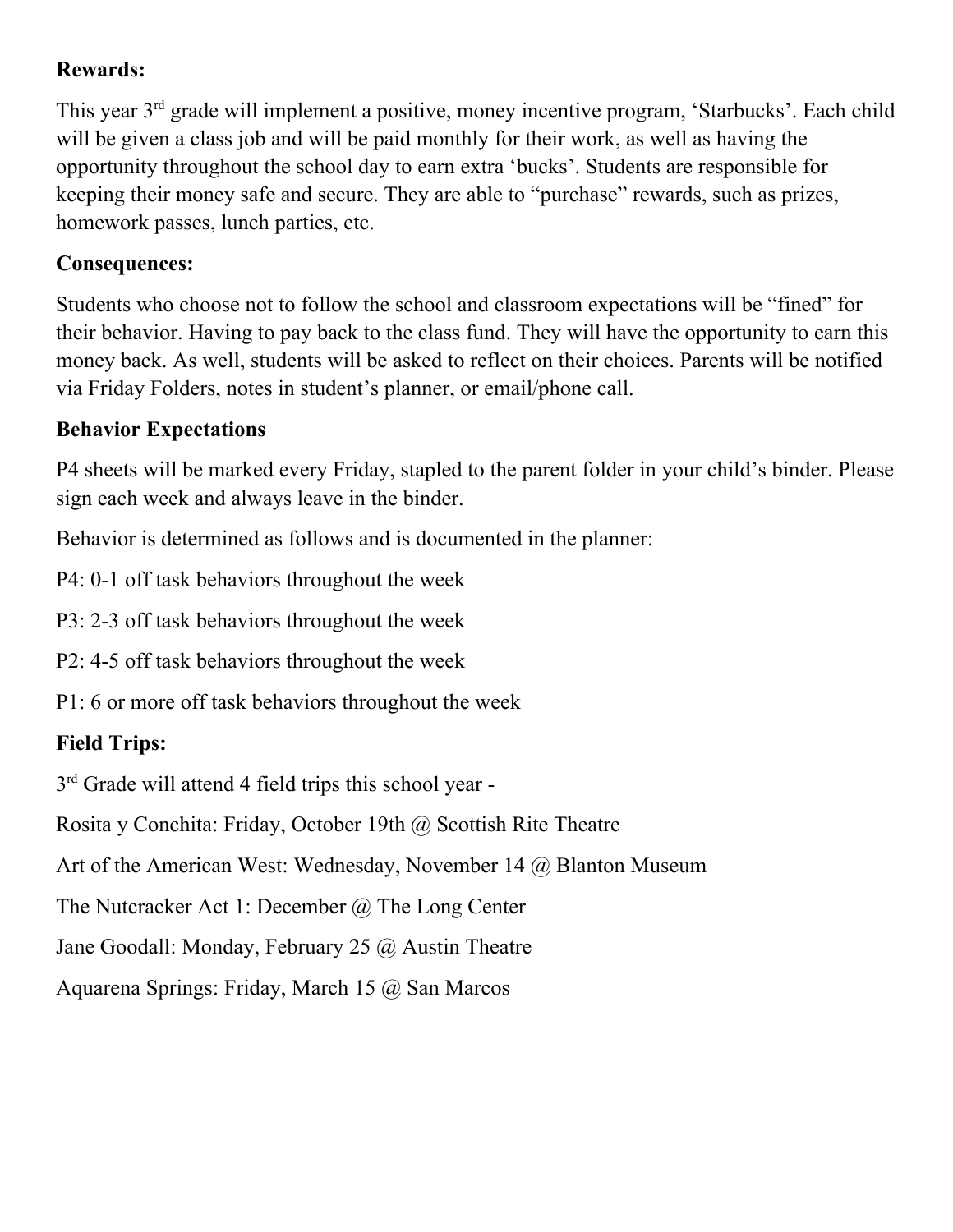# **Rewards:**

This year 3<sup>rd</sup> grade will implement a positive, money incentive program, 'Starbucks'. Each child will be given a class job and will be paid monthly for their work, as well as having the opportunity throughout the school day to earn extra 'bucks'. Students are responsible for keeping their money safe and secure. They are able to "purchase" rewards, such as prizes, homework passes, lunch parties, etc.

# **Consequences:**

Students who choose not to follow the school and classroom expectations will be "fined" for their behavior. Having to pay back to the class fund. They will have the opportunity to earn this money back. As well, students will be asked to reflect on their choices. Parents will be notified via Friday Folders, notes in student's planner, or email/phone call.

### **Behavior Expectations**

P4 sheets will be marked every Friday, stapled to the parent folder in your child's binder. Please sign each week and always leave in the binder.

Behavior is determined as follows and is documented in the planner:

P4: 0-1 off task behaviors throughout the week

P3: 2-3 off task behaviors throughout the week

P2: 4-5 off task behaviors throughout the week

P1: 6 or more off task behaviors throughout the week

# **Field Trips:**

3<sup>rd</sup> Grade will attend 4 field trips this school year -

Rosita y Conchita: Friday, October 19th @ Scottish Rite Theatre

Art of the American West: Wednesday, November 14 @ Blanton Museum

The Nutcracker Act 1: December @ The Long Center

Jane Goodall: Monday, February 25 @ Austin Theatre

Aquarena Springs: Friday, March 15 @ San Marcos